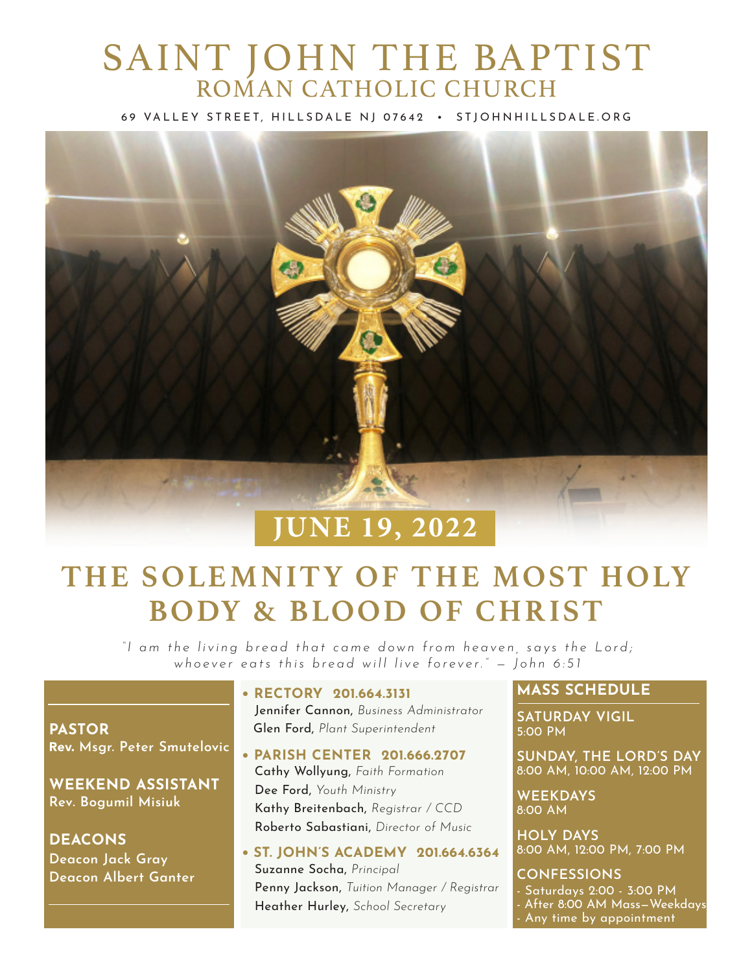# SAINT JOHN THE BAPTIST ROMAN CATHOLIC CHURCH

69 VALLEY STREET, HILLSDALE NJ 07642 • STJOHNHILLSDALE.ORG



# **JUNE 19, 2022**

# **THE SOLEMNITY OF THE MOST HOLY BODY & BLOOD OF CHRIST**

*"I am the living bread that came down from heaven, says the Lord; whoever eats this bread will live forever." — John 6:51*

**PASTOR** Rev. **Msgr. Peter Smutelovic**

**WEEKEND ASSISTANT Rev. Bogumil Misiuk**

**DEACONS Deacon Jack Gray Deacon Albert Ganter** **• RECTORY 201.664.3131**

Jennifer Cannon, *Business Administrator* Glen Ford, *Plant Superintendent*

- **PARISH CENTER 201.666.2707** Cathy Wollyung, *Faith Formation* Dee Ford, *Youth Ministry* Kathy Breitenbach, *Registrar / CCD* Roberto Sabastiani, *Director of Music*
- **ST. JOHN'S ACADEMY 201.664.6364** Suzanne Socha, *Principal* Penny Jackson, *Tuition Manager / Registrar* Heather Hurley, *School Secretary*

### **MASS SCHEDULE**

**SATURDAY VIGIL** 5:00 PM

**SUNDAY, THE LORD'S DAY** 8:00 AM, 10:00 AM, 12:00 PM

**WEEKDAYS** 8:00 AM

**HOLY DAYS** 8:00 AM, 12:00 PM, 7:00 PM

**CONFESSIONS** - Saturdays 2:00 - 3:00 PM - After 8:00 AM Mass—Weekdays Any time by appointment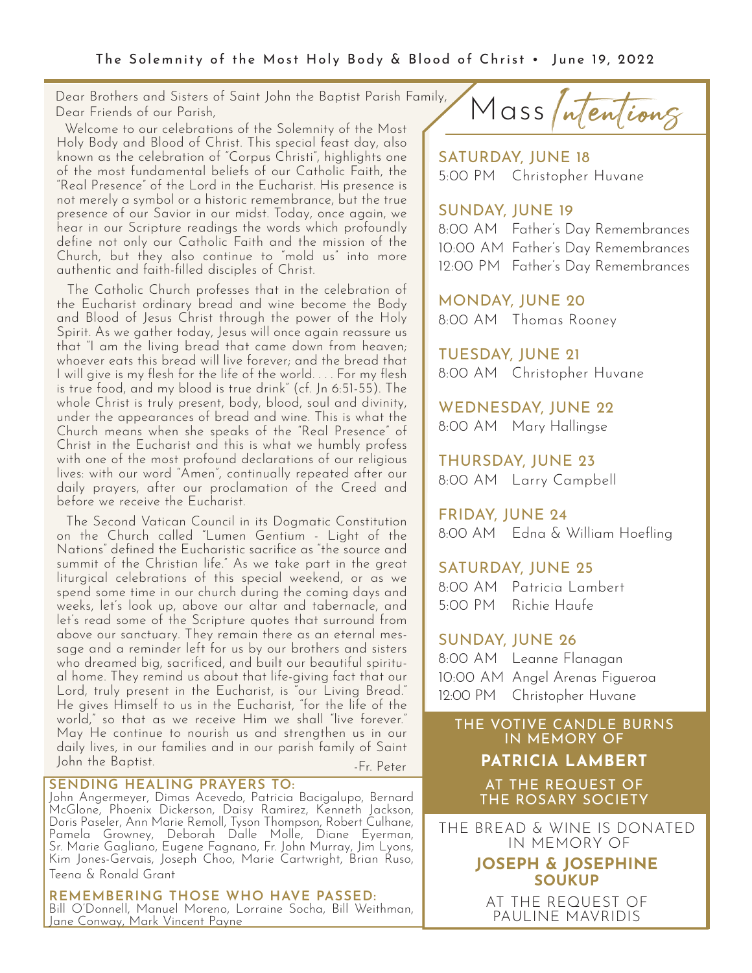The Solemnity of the Most Holy Body & Blood of Christ • June 19, 2022

Dear Brothers and Sisters of Saint John the Baptist Parish Family, Dear Friends of our Parish,

 Welcome to our celebrations of the Solemnity of the Most Holy Body and Blood of Christ. This special feast day, also known as the celebration of "Corpus Christi", highlights one of the most fundamental beliefs of our Catholic Faith, the "Real Presence" of the Lord in the Eucharist. His presence is not merely a symbol or a historic remembrance, but the true presence of our Savior in our midst. Today, once again, we hear in our Scripture readings the words which profoundly define not only our Catholic Faith and the mission of the Church, but they also continue to "mold us" into more authentic and faith-filled disciples of Christ.

 The Catholic Church professes that in the celebration of the Eucharist ordinary bread and wine become the Body and Blood of Jesus Christ through the power of the Holy Spirit. As we gather today, Jesus will once again reassure us that "I am the living bread that came down from heaven; whoever eats this bread will live forever; and the bread that I will give is my flesh for the life of the world. . . . For my flesh is true food, and my blood is true drink" (cf. Jn 6:51-55). The whole Christ is truly present, body, blood, soul and divinity, under the appearances of bread and wine. This is what the Church means when she speaks of the "Real Presence" of Christ in the Eucharist and this is what we humbly profess with one of the most profound declarations of our religious lives: with our word "Amen", continually repeated after our daily prayers, after our proclamation of the Creed and before we receive the Eucharist.

 The Second Vatican Council in its Dogmatic Constitution on the Church called "Lumen Gentium - Light of the Nations" defined the Eucharistic sacrifice as "the source and summit of the Christian life." As we take part in the great liturgical celebrations of this special weekend, or as we spend some time in our church during the coming days and weeks, let's look up, above our altar and tabernacle, and let's read some of the Scripture quotes that surround from above our sanctuary. They remain there as an eternal message and a reminder left for us by our brothers and sisters who dreamed big, sacrificed, and built our beautiful spiritual home. They remind us about that life-giving fact that our Lord, truly present in the Eucharist, is "our Living Bread." He gives Himself to us in the Eucharist, "for the life of the world," so that as we receive Him we shall "live forever." May He continue to nourish us and strengthen us in our daily lives, in our families and in our parish family of Saint John the Baptist. -Fr. Peter

### **SENDING HEALING PRAYERS TO:**

John Angermeyer, Dimas Acevedo, Patricia Bacigalupo, Bernard McGlone, Phoenix Dickerson, Daisy Ramirez, Kenneth Jackson, Doris Paseler, Ann Marie Remoll, Tyson Thompson, Robert Culhane, Pamela Growney, Deborah Dalle Molle, Diane Eyerman, Sr. Marie Gagliano, Eugene Fagnano, Fr. John Murray, Jim Lyons, Kim Jones-Gervais, Joseph Choo, Marie Cartwright, Brian Ruso, Teena & Ronald Grant

**REMEMBERING THOSE WHO HAVE PASSED:** Bill O'Donnell, Manuel Moreno, Lorraine Socha, Bill Weithman, Jane Conway, Mark Vincent Payne

Mass Intentions

SATURDAY, JUNE 18 5:00 PM Christopher Huvane

#### SUNDAY, JUNE 19

8:00 AM Father's Day Remembrances 10:00 AM Father's Day Remembrances 12:00 PM Father's Day Remembrances

MONDAY, JUNE 20 8:00 AM Thomas Rooney

TUESDAY, JUNE 21 8:00 AM Christopher Huvane

WEDNESDAY, JUNE 22 8:00 AM Mary Hallingse

THURSDAY, JUNE 23 8:00 AM Larry Campbell

FRIDAY, JUNE 24 8:00 AM Edna & William Hoefling

### SATURDAY, JUNE 25

8:00 AM Patricia Lambert 5:00 PM Richie Haufe

### SUNDAY, JUNE 26

8:00 AM Leanne Flanagan 10:00 AM Angel Arenas Figueroa 12:00 PM Christopher Huvane

THE VOTIVE CANDLE BURNS IN MEMORY OF **PATRICIA LAMBERT** AT THE REQUEST OF THE ROSARY SOCIETY

THE BREAD & WINE IS DONATED IN MEMORY OF

> **JOSEPH & JOSEPHINE SOUKUP**

AT THE REQUEST OF PAULINE MAVRIDIS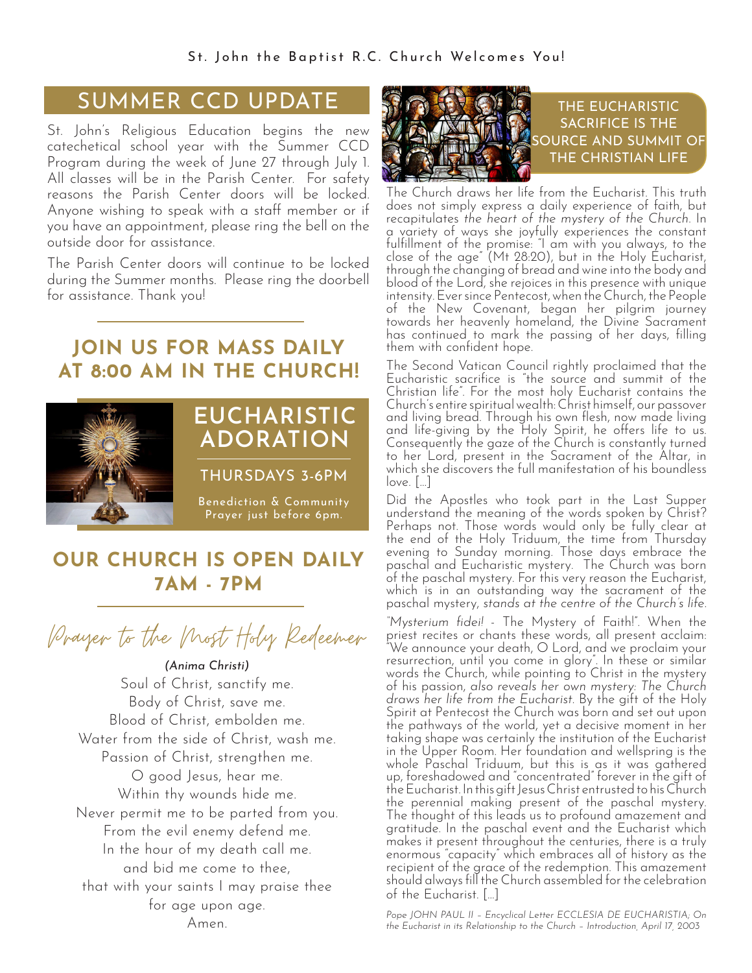# SUMMER CCD UPDATE

St. John's Religious Education begins the new catechetical school year with the Summer CCD Program during the week of June 27 through July 1. All classes will be in the Parish Center. For safety reasons the Parish Center doors will be locked. Anyone wishing to speak with a staff member or if you have an appointment, please ring the bell on the outside door for assistance.

The Parish Center doors will continue to be locked during the Summer months. Please ring the doorbell for assistance. Thank you!

## **JOIN US FOR MASS DAILY AT 8:00 AM IN THE CHURCH!**



### **EUCHARISTIC ADORATION**

THURSDAYS 3-6PM

Benediction & Community Prayer just before 6pm.

# **OUR CHURCH IS OPEN DAILY 7AM - 7PM**

Prayer to the Most Holy Redeemer

*(Anima Christi)* Soul of Christ, sanctify me. Body of Christ, save me. Blood of Christ, embolden me. Water from the side of Christ, wash me. Passion of Christ, strengthen me. O good Jesus, hear me. Within thy wounds hide me. Never permit me to be parted from you. From the evil enemy defend me. In the hour of my death call me. and bid me come to thee, that with your saints I may praise thee for age upon age. Amen.



The Church draws her life from the Eucharist. This truth does not simply express a daily experience of faith, but recapitulates *the heart of the mystery of the Church*. In a variety of ways she joyfully experiences the constant fulfillment of the promise: "I am with you always, to the close of the age" (Mt 28:20), but in the Holy Eucharist, through the changing of bread and wine into the body and blood of the Lord, she rejoices in this presence with unique intensity. Ever since Pentecost, when the Church, the People of the New Covenant, began her pilgrim journey towards her heavenly homeland, the Divine Sacrament has continued to mark the passing of her days, filling them with confident hope.

The Second Vatican Council rightly proclaimed that the Eucharistic sacrifice is "the source and summit of the Christian life". For the most holy Eucharist contains the Church's entire spiritual wealth: Christ himself, our passover and living bread. Through his own flesh, now made living and life-giving by the Holy Spirit, he offers life to us. Consequently the gaze of the Church is constantly turned to her Lord, present in the Sacrament of the Altar, in which she discovers the full manifestation of his boundless  $love.$   $|...|$ 

Did the Apostles who took part in the Last Supper understand the meaning of the words spoken by Christ? Perhaps not. Those words would only be fully clear at the end of the Holy Triduum, the time from Thursday evening to Sunday morning. Those days embrace the paschal and Eucharistic mystery. The Church was born of the paschal mystery. For this very reason the Eucharist, which is in an outstanding way the sacrament of the paschal mystery, *stands at the centre of the Church's life.* 

*"Mysterium fidei!* - The Mystery of Faith!". When the priest recites or chants these words, all present acclaim: We announce your death, O Lord, and we proclaim your resurrection, until you come in glory". In these or similar words the Church, while pointing to Christ in the mystery of his passion, *also reveals her own mystery: The Church draws her life from the Eucharist*. By the gift of the Holy Spirit at Pentecost the Church was born and set out upon the pathways of the world, yet a decisive moment in her taking shape was certainly the institution of the Eucharist in the Upper Room. Her foundation and wellspring is the whole Paschal Triduum, but this is as it was gathered up, foreshadowed and "concentrated" forever in the gift of the Eucharist. In this gift Jesus Christ entrusted to his Church the perennial making present of the paschal mystery. The thought of this leads us to profound amazement and gratitude. In the paschal event and the Eucharist which makes it present throughout the centuries, there is a truly enormous "capacity" which embraces all of history as the recipient of the grace of the redemption. This amazement should always fill the Church assembled for the celebration of the Eucharist. […]

*Pope JOHN PAUL II – Encyclical Letter ECCLESIA DE EUCHARISTIA; On the Eucharist in its Relationship to the Church – Introduction, April 17, 2003*